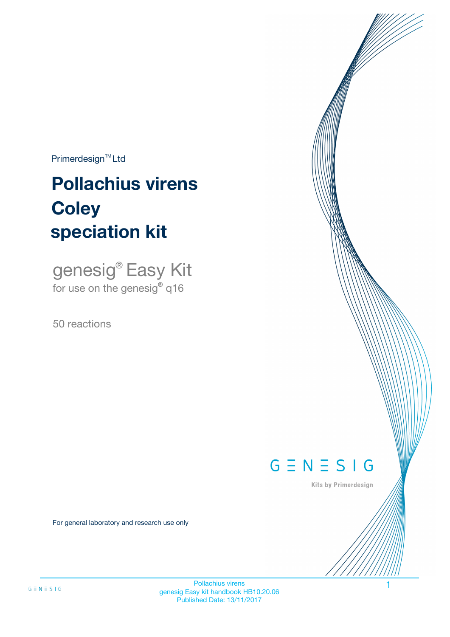$Primerdesign^{\text{TM}}Ltd$ 

# **Pollachius virens speciation kit Coley**

genesig® Easy Kit for use on the genesig**®** q16

50 reactions



Kits by Primerdesign

For general laboratory and research use only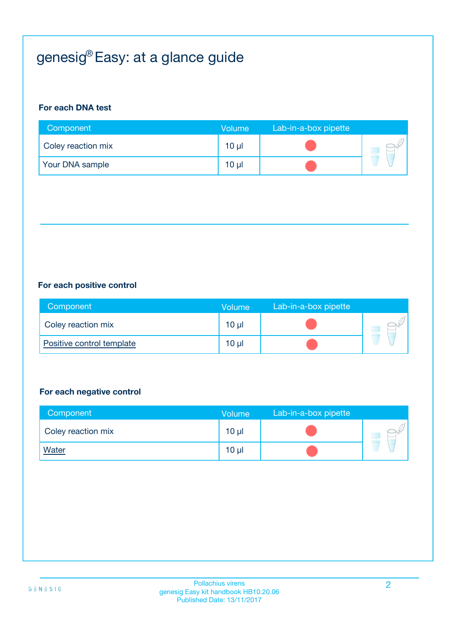# genesig® Easy: at a glance guide

#### **For each DNA test**

| Component          | <b>Volume</b>   | Lab-in-a-box pipette |  |
|--------------------|-----------------|----------------------|--|
| Coley reaction mix | $10 \mu$        |                      |  |
| Your DNA sample    | 10 <sub>µ</sub> |                      |  |

#### **For each positive control**

| Component                 | Volume | Lab-in-a-box pipette |  |
|---------------------------|--------|----------------------|--|
| Coley reaction mix        | 10 µl  |                      |  |
| Positive control template | 10 µl  |                      |  |

#### **For each negative control**

| Component          | <b>Volume</b>   | Lab-in-a-box pipette |  |
|--------------------|-----------------|----------------------|--|
| Coley reaction mix | 10 <sub>µ</sub> |                      |  |
| <b>Water</b>       | $10 \mu$        |                      |  |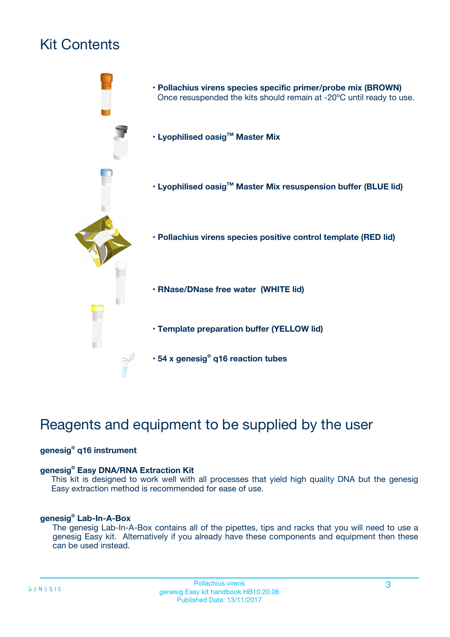# Kit Contents



# Reagents and equipment to be supplied by the user

#### **genesig® q16 instrument**

#### **genesig® Easy DNA/RNA Extraction Kit**

This kit is designed to work well with all processes that yield high quality DNA but the genesig Easy extraction method is recommended for ease of use.

#### **genesig® Lab-In-A-Box**

The genesig Lab-In-A-Box contains all of the pipettes, tips and racks that you will need to use a genesig Easy kit. Alternatively if you already have these components and equipment then these can be used instead.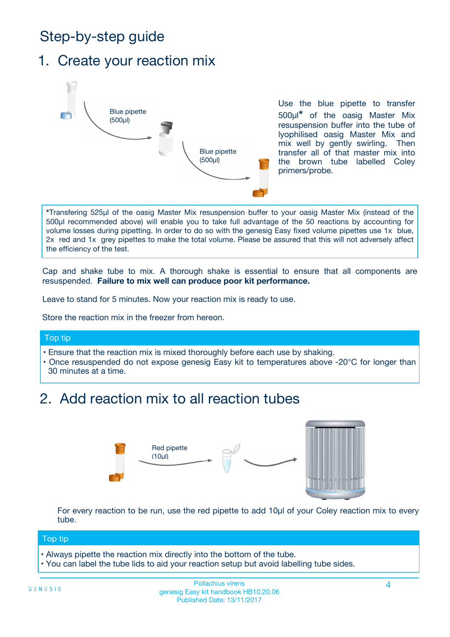# Step-by-step guide

### 1. Create your reaction mix



Use the blue pipette to transfer 500µl**\*** of the oasig Master Mix resuspension buffer into the tube of lyophilised oasig Master Mix and mix well by gently swirling. Then transfer all of that master mix into the brown tube labelled Coley primers/probe.

**\***Transfering 525µl of the oasig Master Mix resuspension buffer to your oasig Master Mix (instead of the 500µl recommended above) will enable you to take full advantage of the 50 reactions by accounting for volume losses during pipetting. In order to do so with the genesig Easy fixed volume pipettes use 1x blue, 2x red and 1x grey pipettes to make the total volume. Please be assured that this will not adversely affect the efficiency of the test.

Cap and shake tube to mix. A thorough shake is essential to ensure that all components are resuspended. **Failure to mix well can produce poor kit performance.**

Leave to stand for 5 minutes. Now your reaction mix is ready to use.

Store the reaction mix in the freezer from hereon.

#### Top tip

- Ensure that the reaction mix is mixed thoroughly before each use by shaking.
- **•** Once resuspended do not expose genesig Easy kit to temperatures above -20°C for longer than 30 minutes at a time.

# 2. Add reaction mix to all reaction tubes



For every reaction to be run, use the red pipette to add 10µl of your Coley reaction mix to every tube.

#### Top tip

- Always pipette the reaction mix directly into the bottom of the tube.
- You can label the tube lids to aid your reaction setup but avoid labelling tube sides.

#### Pollachius virens 4 genesig Easy kit handbook HB10.20.06 Published Date: 13/11/2017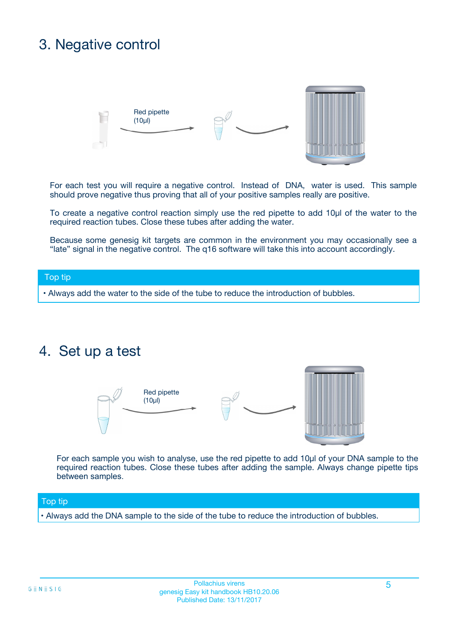## 3. Negative control



For each test you will require a negative control. Instead of DNA, water is used. This sample should prove negative thus proving that all of your positive samples really are positive.

To create a negative control reaction simply use the red pipette to add 10µl of the water to the required reaction tubes. Close these tubes after adding the water.

Because some genesig kit targets are common in the environment you may occasionally see a "late" signal in the negative control. The q16 software will take this into account accordingly.

#### Top tip

**•** Always add the water to the side of the tube to reduce the introduction of bubbles.

### 4. Set up a test



For each sample you wish to analyse, use the red pipette to add 10µl of your DNA sample to the required reaction tubes. Close these tubes after adding the sample. Always change pipette tips between samples.

#### Top tip

**•** Always add the DNA sample to the side of the tube to reduce the introduction of bubbles.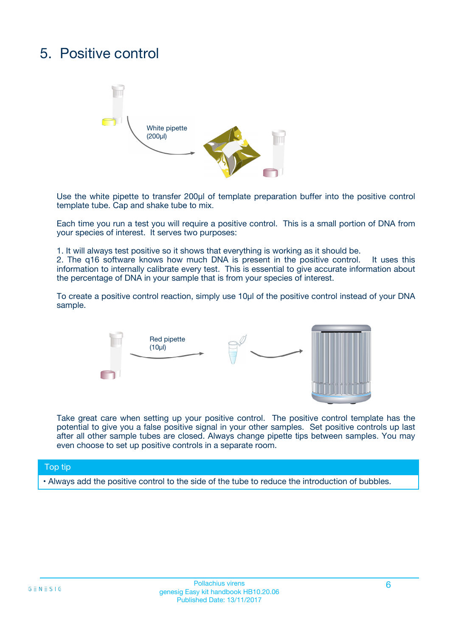# 5. Positive control



Use the white pipette to transfer 200µl of template preparation buffer into the positive control template tube. Cap and shake tube to mix.

Each time you run a test you will require a positive control. This is a small portion of DNA from your species of interest. It serves two purposes:

1. It will always test positive so it shows that everything is working as it should be.

2. The q16 software knows how much DNA is present in the positive control. It uses this information to internally calibrate every test. This is essential to give accurate information about the percentage of DNA in your sample that is from your species of interest.

To create a positive control reaction, simply use 10µl of the positive control instead of your DNA sample.



Take great care when setting up your positive control. The positive control template has the potential to give you a false positive signal in your other samples. Set positive controls up last after all other sample tubes are closed. Always change pipette tips between samples. You may even choose to set up positive controls in a separate room.

#### Top tip

**•** Always add the positive control to the side of the tube to reduce the introduction of bubbles.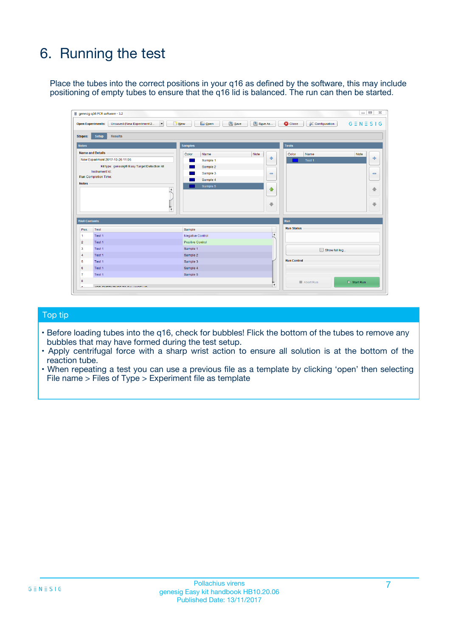# 6. Running the test

Place the tubes into the correct positions in your q16 as defined by the software, this may include positioning of empty tubes to ensure that the q16 lid is balanced. The run can then be started.

|                          | qenesiq q16 PCR software - 1.2                                                    |                                     |                              |                                 | $\Box$                       |
|--------------------------|-----------------------------------------------------------------------------------|-------------------------------------|------------------------------|---------------------------------|------------------------------|
|                          | Unsaved (New Experiment 2<br>$\overline{\phantom{a}}$<br><b>Open Experiments:</b> | <b>E</b> Open<br>Save<br>$\Box$ New | Save As                      | <b>C</b> Close<br>Configuration | $G \equiv N \equiv S \mid G$ |
| <b>Stages:</b>           | <b>Setup</b><br><b>Results</b>                                                    |                                     |                              |                                 |                              |
| <b>Notes</b>             |                                                                                   | <b>Samples</b>                      |                              | <b>Tests</b>                    |                              |
|                          | <b>Name and Details</b>                                                           | Color<br>Name                       | Note                         | Color<br>Name                   | Note                         |
|                          | New Experiment 2017-10-26 11:06                                                   | Sample 1                            | 4                            | Test <sub>1</sub>               | $\oplus$                     |
|                          | Kit type: genesig® Easy Target Detection kit                                      | Sample 2                            |                              |                                 |                              |
|                          | Instrument Id.:                                                                   | Sample 3                            | $\qquad \qquad \blacksquare$ |                                 | $\qquad \qquad \blacksquare$ |
|                          | <b>Run Completion Time:</b>                                                       | Sample 4                            |                              |                                 |                              |
| <b>Notes</b>             | $\blacktriangle$<br>$\overline{\mathbf{v}}$                                       | Sample 5                            | ♠<br>÷                       |                                 | 48<br>₩                      |
| <b>Well Contents</b>     |                                                                                   |                                     |                              | <b>Run</b>                      |                              |
| Pos.                     | Test                                                                              | Sample                              |                              | <b>Run Status</b>               |                              |
| $\blacksquare$           | Test 1                                                                            | <b>Negative Control</b>             | $\blacktriangle$             |                                 |                              |
| $\overline{2}$           | Test 1                                                                            | <b>Positive Control</b>             |                              |                                 |                              |
| $\overline{\mathbf{3}}$  | Test 1                                                                            | Sample 1                            |                              | Show full log                   |                              |
| $\overline{4}$           | Test 1                                                                            | Sample 2                            |                              |                                 |                              |
| 5                        | Test 1                                                                            | Sample 3                            |                              | <b>Run Control</b>              |                              |
|                          | Test 1                                                                            | Sample 4                            |                              |                                 |                              |
|                          |                                                                                   |                                     |                              |                                 |                              |
|                          | Test 1                                                                            | Sample 5                            |                              |                                 |                              |
| 6<br>$\overline{7}$<br>8 |                                                                                   |                                     | $\pmb{\mathrm{v}}$           | Abort Run                       | $\triangleright$ Start Run   |

#### Top tip

- Before loading tubes into the q16, check for bubbles! Flick the bottom of the tubes to remove any bubbles that may have formed during the test setup.
- Apply centrifugal force with a sharp wrist action to ensure all solution is at the bottom of the reaction tube.
- When repeating a test you can use a previous file as a template by clicking 'open' then selecting File name > Files of Type > Experiment file as template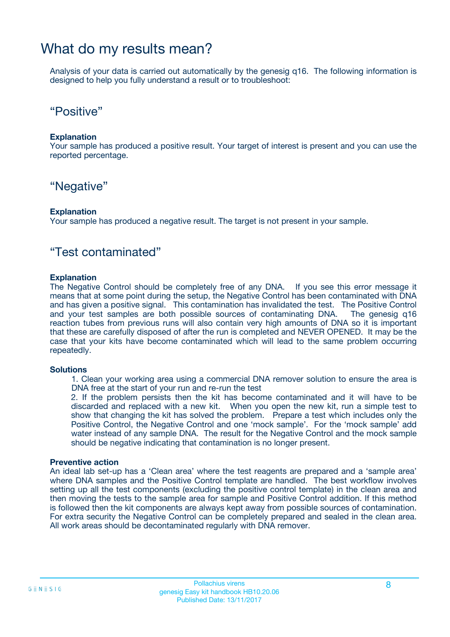### What do my results mean?

Analysis of your data is carried out automatically by the genesig q16. The following information is designed to help you fully understand a result or to troubleshoot:

### "Positive"

#### **Explanation**

Your sample has produced a positive result. Your target of interest is present and you can use the reported percentage.

### "Negative"

#### **Explanation**

Your sample has produced a negative result. The target is not present in your sample.

### "Test contaminated"

#### **Explanation**

The Negative Control should be completely free of any DNA. If you see this error message it means that at some point during the setup, the Negative Control has been contaminated with DNA and has given a positive signal. This contamination has invalidated the test. The Positive Control and your test samples are both possible sources of contaminating DNA. The genesig q16 reaction tubes from previous runs will also contain very high amounts of DNA so it is important that these are carefully disposed of after the run is completed and NEVER OPENED. It may be the case that your kits have become contaminated which will lead to the same problem occurring repeatedly.

#### **Solutions**

1. Clean your working area using a commercial DNA remover solution to ensure the area is DNA free at the start of your run and re-run the test

2. If the problem persists then the kit has become contaminated and it will have to be discarded and replaced with a new kit. When you open the new kit, run a simple test to show that changing the kit has solved the problem. Prepare a test which includes only the Positive Control, the Negative Control and one 'mock sample'. For the 'mock sample' add water instead of any sample DNA. The result for the Negative Control and the mock sample should be negative indicating that contamination is no longer present.

#### **Preventive action**

An ideal lab set-up has a 'Clean area' where the test reagents are prepared and a 'sample area' where DNA samples and the Positive Control template are handled. The best workflow involves setting up all the test components (excluding the positive control template) in the clean area and then moving the tests to the sample area for sample and Positive Control addition. If this method is followed then the kit components are always kept away from possible sources of contamination. For extra security the Negative Control can be completely prepared and sealed in the clean area. All work areas should be decontaminated regularly with DNA remover.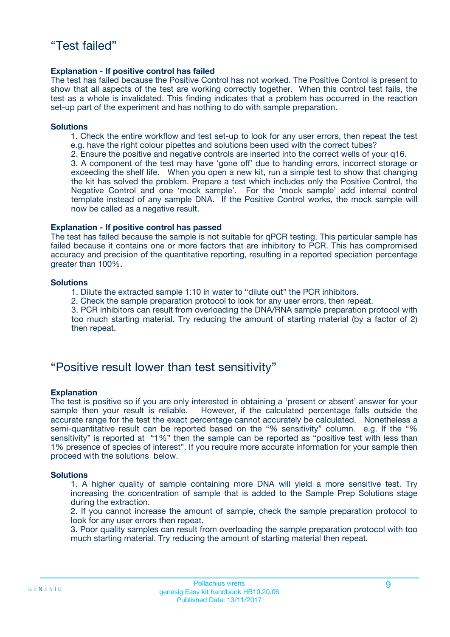#### **Explanation - If positive control has failed**

The test has failed because the Positive Control has not worked. The Positive Control is present to show that all aspects of the test are working correctly together. When this control test fails, the test as a whole is invalidated. This finding indicates that a problem has occurred in the reaction set-up part of the experiment and has nothing to do with sample preparation.

#### **Solutions**

- 1. Check the entire workflow and test set-up to look for any user errors, then repeat the test e.g. have the right colour pipettes and solutions been used with the correct tubes?
- 2. Ensure the positive and negative controls are inserted into the correct wells of your q16.

3. A component of the test may have 'gone off' due to handing errors, incorrect storage or exceeding the shelf life. When you open a new kit, run a simple test to show that changing the kit has solved the problem. Prepare a test which includes only the Positive Control, the Negative Control and one 'mock sample'. For the 'mock sample' add internal control template instead of any sample DNA. If the Positive Control works, the mock sample will now be called as a negative result.

#### **Explanation - If positive control has passed**

The test has failed because the sample is not suitable for qPCR testing. This particular sample has failed because it contains one or more factors that are inhibitory to PCR. This has compromised accuracy and precision of the quantitative reporting, resulting in a reported speciation percentage greater than 100%.

#### **Solutions**

- 1. Dilute the extracted sample 1:10 in water to "dilute out" the PCR inhibitors.
- 2. Check the sample preparation protocol to look for any user errors, then repeat.

3. PCR inhibitors can result from overloading the DNA/RNA sample preparation protocol with too much starting material. Try reducing the amount of starting material (by a factor of 2) then repeat.

### "Positive result lower than test sensitivity"

#### **Explanation**

The test is positive so if you are only interested in obtaining a 'present or absent' answer for your sample then your result is reliable. However, if the calculated percentage falls outside the accurate range for the test the exact percentage cannot accurately be calculated. Nonetheless a semi-quantitative result can be reported based on the "% sensitivity" column. e.g. If the "% sensitivity" is reported at "1%" then the sample can be reported as "positive test with less than 1% presence of species of interest". If you require more accurate information for your sample then proceed with the solutions below.

#### **Solutions**

1. A higher quality of sample containing more DNA will yield a more sensitive test. Try increasing the concentration of sample that is added to the Sample Prep Solutions stage during the extraction.

2. If you cannot increase the amount of sample, check the sample preparation protocol to look for any user errors then repeat.

3. Poor quality samples can result from overloading the sample preparation protocol with too much starting material. Try reducing the amount of starting material then repeat.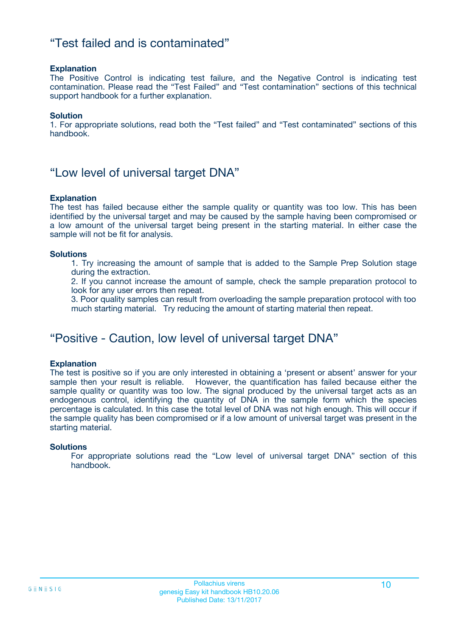### "Test failed and is contaminated"

#### **Explanation**

The Positive Control is indicating test failure, and the Negative Control is indicating test contamination. Please read the "Test Failed" and "Test contamination" sections of this technical support handbook for a further explanation.

#### **Solution**

1. For appropriate solutions, read both the "Test failed" and "Test contaminated" sections of this handbook.

### "Low level of universal target DNA"

#### **Explanation**

The test has failed because either the sample quality or quantity was too low. This has been identified by the universal target and may be caused by the sample having been compromised or a low amount of the universal target being present in the starting material. In either case the sample will not be fit for analysis.

#### **Solutions**

1. Try increasing the amount of sample that is added to the Sample Prep Solution stage during the extraction.

2. If you cannot increase the amount of sample, check the sample preparation protocol to look for any user errors then repeat.

3. Poor quality samples can result from overloading the sample preparation protocol with too much starting material. Try reducing the amount of starting material then repeat.

### "Positive - Caution, low level of universal target DNA"

#### **Explanation**

The test is positive so if you are only interested in obtaining a 'present or absent' answer for your sample then your result is reliable. However, the quantification has failed because either the sample quality or quantity was too low. The signal produced by the universal target acts as an endogenous control, identifying the quantity of DNA in the sample form which the species percentage is calculated. In this case the total level of DNA was not high enough. This will occur if the sample quality has been compromised or if a low amount of universal target was present in the starting material.

#### **Solutions**

For appropriate solutions read the "Low level of universal target DNA" section of this handbook.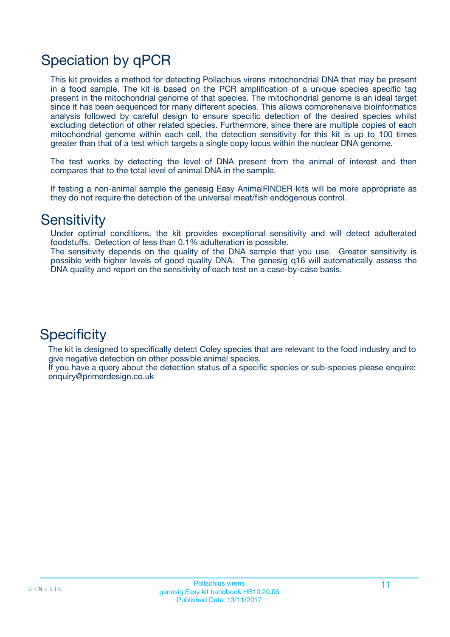# Speciation by qPCR

This kit provides a method for detecting Pollachius virens mitochondrial DNA that may be present in a food sample. The kit is based on the PCR amplification of a unique species specific tag present in the mitochondrial genome of that species. The mitochondrial genome is an ideal target since it has been sequenced for many different species. This allows comprehensive bioinformatics analysis followed by careful design to ensure specific detection of the desired species whilst excluding detection of other related species. Furthermore, since there are multiple copies of each mitochondrial genome within each cell, the detection sensitivity for this kit is up to 100 times greater than that of a test which targets a single copy locus within the nuclear DNA genome.

The test works by detecting the level of DNA present from the animal of interest and then compares that to the total level of animal DNA in the sample.

If testing a non-animal sample the genesig Easy AnimalFINDER kits will be more appropriate as they do not require the detection of the universal meat/fish endogenous control.

### **Sensitivity**

Under optimal conditions, the kit provides exceptional sensitivity and will detect adulterated foodstuffs. Detection of less than 0.1% adulteration is possible.

The sensitivity depends on the quality of the DNA sample that you use. Greater sensitivity is possible with higher levels of good quality DNA. The genesig q16 will automatically assess the DNA quality and report on the sensitivity of each test on a case-by-case basis.

### **Specificity**

The kit is designed to specifically detect Coley species that are relevant to the food industry and to give negative detection on other possible animal species.

If you have a query about the detection status of a specific species or sub-species please enquire: enquiry@primerdesign.co.uk